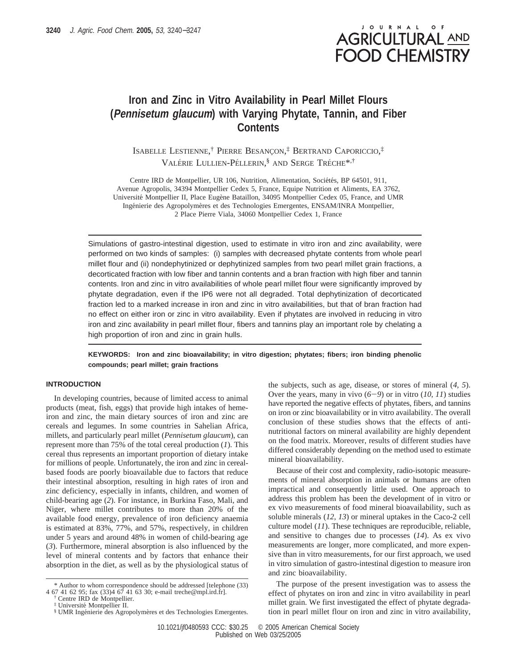# JOURNAL OF **AGRICULTURAL AND FOOD CHEMISTRY**

## **Iron and Zinc in Vitro Availability in Pearl Millet Flours (Pennisetum glaucum) with Varying Phytate, Tannin, and Fiber Contents**

ISABELLE LESTIENNE,<sup>†</sup> PIERRE BESANÇON,<sup>‡</sup> BERTRAND CAPORICCIO,<sup>‡</sup> VALÉRIE LULLIEN-PÉLLERIN, $\frac{8}{5}$  and Serge Tréche<sup>\*,†</sup>

Centre IRD de Montpellier, UR 106, Nutrition, Alimentation, Sociétés, BP 64501, 911, Avenue Agropolis, 34394 Montpellier Cedex 5, France, Equipe Nutrition et Aliments, EA 3762, Université Montpellier II, Place Eugène Bataillon, 34095 Montpellier Cedex 05, France, and UMR Ingénierie des Agropolymères et des Technologies Emergentes, ENSAM/INRA Montpellier, 2 Place Pierre Viala, 34060 Montpellier Cedex 1, France

Simulations of gastro-intestinal digestion, used to estimate in vitro iron and zinc availability, were performed on two kinds of samples: (i) samples with decreased phytate contents from whole pearl millet flour and (ii) nondephytinized or dephytinized samples from two pearl millet grain fractions, a decorticated fraction with low fiber and tannin contents and a bran fraction with high fiber and tannin contents. Iron and zinc in vitro availabilities of whole pearl millet flour were significantly improved by phytate degradation, even if the IP6 were not all degraded. Total dephytinization of decorticated fraction led to a marked increase in iron and zinc in vitro availabilities, but that of bran fraction had no effect on either iron or zinc in vitro availability. Even if phytates are involved in reducing in vitro iron and zinc availability in pearl millet flour, fibers and tannins play an important role by chelating a high proportion of iron and zinc in grain hulls.

**KEYWORDS: Iron and zinc bioavailability; in vitro digestion; phytates; fibers; iron binding phenolic compounds; pearl millet; grain fractions**

#### **INTRODUCTION**

In developing countries, because of limited access to animal products (meat, fish, eggs) that provide high intakes of hemeiron and zinc, the main dietary sources of iron and zinc are cereals and legumes. In some countries in Sahelian Africa, millets, and particularly pearl millet (*Pennisetum glaucum*), can represent more than 75% of the total cereal production (*1*). This cereal thus represents an important proportion of dietary intake for millions of people. Unfortunately, the iron and zinc in cerealbased foods are poorly bioavailable due to factors that reduce their intestinal absorption, resulting in high rates of iron and zinc deficiency, especially in infants, children, and women of child-bearing age (*2*). For instance, in Burkina Faso, Mali, and Niger, where millet contributes to more than 20% of the available food energy, prevalence of iron deficiency anaemia is estimated at 83%, 77%, and 57%, respectively, in children under 5 years and around 48% in women of child-bearing age (*3*). Furthermore, mineral absorption is also influenced by the level of mineral contents and by factors that enhance their absorption in the diet, as well as by the physiological status of

the subjects, such as age, disease, or stores of mineral (*4*, *5*). Over the years, many in vivo  $(6-9)$  or in vitro  $(10, 11)$  studies have reported the negative effects of phytates, fibers, and tannins on iron or zinc bioavailability or in vitro availability. The overall conclusion of these studies shows that the effects of antinutritional factors on mineral availability are highly dependent on the food matrix. Moreover, results of different studies have differed considerably depending on the method used to estimate mineral bioavailability.

Because of their cost and complexity, radio-isotopic measurements of mineral absorption in animals or humans are often impractical and consequently little used. One approach to address this problem has been the development of in vitro or ex vivo measurements of food mineral bioavailability, such as soluble minerals (*12*, *13*) or mineral uptakes in the Caco-2 cell culture model (*11*). These techniques are reproducible, reliable, and sensitive to changes due to processes (*14*). As ex vivo measurements are longer, more complicated, and more expensive than in vitro measurements, for our first approach, we used in vitro simulation of gastro-intestinal digestion to measure iron and zinc bioavailability.

The purpose of the present investigation was to assess the effect of phytates on iron and zinc in vitro availability in pearl millet grain. We first investigated the effect of phytate degradation in pearl millet flour on iron and zinc in vitro availability,

<sup>\*</sup> Author to whom correspondence should be addressed [telephone (33) 4 67 41 62 95; fax (33)4 67 41 63 30; e-mail treche@mpl.ird.fr].

<sup>†</sup> Centre IRD de Montpellier.

<sup>‡</sup> Universite´ Montpellier II.

<sup>§</sup> UMR Ingénierie des Agropolymères et des Technologies Emergentes.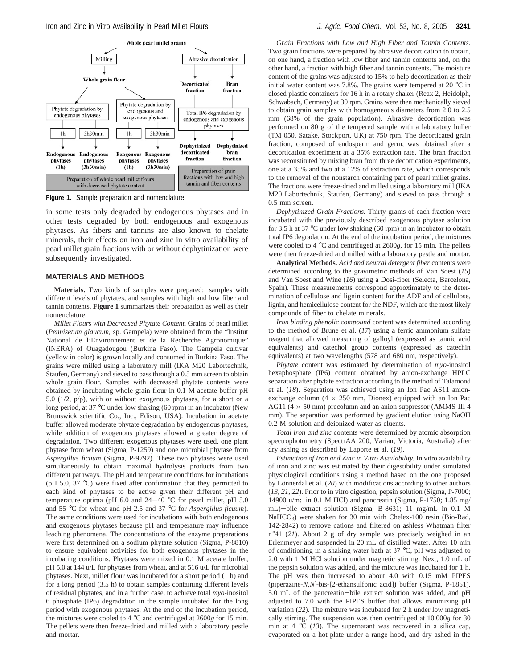

**Figure 1.** Sample preparation and nomenclature.

in some tests only degraded by endogenous phytases and in other tests degraded by both endogenous and exogenous phytases. As fibers and tannins are also known to chelate minerals, their effects on iron and zinc in vitro availability of pearl millet grain fractions with or without dephytinization were subsequently investigated.

## **MATERIALS AND METHODS**

**Materials.** Two kinds of samples were prepared: samples with different levels of phytates, and samples with high and low fiber and tannin contents. **Figure 1** summarizes their preparation as well as their nomenclature.

*Millet Flours with Decreased Phytate Content.* Grains of pearl millet (*Pennisetum glaucum,* sp. Gampela) were obtained from the "Institut National de l'Environnement et de la Recherche Agronomique" (INERA) of Ouagadougou (Burkina Faso). The Gampela cultivar (yellow in color) is grown locally and consumed in Burkina Faso. The grains were milled using a laboratory mill (IKA M20 Labortechnik, Staufen, Germany) and sieved to pass through a 0.5 mm screen to obtain whole grain flour. Samples with decreased phytate contents were obtained by incubating whole grain flour in 0.1 M acetate buffer pH 5.0 (1/2, p/p), with or without exogenous phytases, for a short or a long period, at 37 °C under low shaking (60 rpm) in an incubator (New Brunswick scientific Co., Inc., Edison, USA). Incubation in acetate buffer allowed moderate phytate degradation by endogenous phytases, while addition of exogenous phytases allowed a greater degree of degradation. Two different exogenous phytases were used, one plant phytase from wheat (Sigma, P-1259) and one microbial phytase from *Aspergillus ficuum* (Sigma, P-9792). These two phytases were used simultaneously to obtain maximal hydrolysis products from two different pathways. The pH and temperature conditions for incubations (pH 5.0, 37 °C) were fixed after confirmation that they permitted to each kind of phytases to be active given their different pH and temperature optima (pH 6.0 and  $24-40$  °C for pearl millet, pH 5.0 and 55 °C for wheat and pH 2.5 and 37 °C for *Aspergillus ficuum*). The same conditions were used for incubations with both endogenous and exogenous phytases because pH and temperature may influence leaching phenomena. The concentrations of the enzyme preparations were first determined on a sodium phytate solution (Sigma, P-8810) to ensure equivalent activities for both exogenous phytases in the incubating conditions. Phytases were mixed in 0.1 M acetate buffer, pH 5.0 at 144 u/L for phytases from wheat, and at 516 u/L for microbial phytases. Next, millet flour was incubated for a short period (1 h) and for a long period (3.5 h) to obtain samples containing different levels of residual phytates, and in a further case, to achieve total *myo*-inositol 6 phosphate (IP6) degradation in the sample incubated for the long period with exogenous phytases. At the end of the incubation period, the mixtures were cooled to 4 °C and centrifuged at 2600*g* for 15 min. The pellets were then freeze-dried and milled with a laboratory pestle and mortar.

*Grain Fractions with Low and High Fiber and Tannin Contents.* Two grain fractions were prepared by abrasive decortication to obtain, on one hand, a fraction with low fiber and tannin contents and, on the other hand, a fraction with high fiber and tannin contents. The moisture content of the grains was adjusted to 15% to help decortication as their initial water content was 7.8%. The grains were tempered at 20 °C in closed plastic containers for 16 h in a rotary shaker (Reax 2, Heidolph, Schwabach, Germany) at 30 rpm. Grains were then mechanically sieved to obtain grain samples with homogeneous diameters from 2.0 to 2.5 mm (68% of the grain population). Abrasive decortication was performed on 80 g of the tempered sample with a laboratory huller (TM 050, Satake, Stockport, UK) at 750 rpm. The decorticated grain fraction, composed of endosperm and germ, was obtained after a decortication experiment at a 35% extraction rate. The bran fraction was reconstituted by mixing bran from three decortication experiments, one at a 35% and two at a 12% of extraction rate, which corresponds to the removal of the nonstarch containing part of pearl millet grains. The fractions were freeze-dried and milled using a laboratory mill (IKA M20 Labortechnik, Staufen, Germany) and sieved to pass through a 0.5 mm screen.

*Dephytinized Grain Fractions.* Thirty grams of each fraction were incubated with the previously described exogenous phytase solution for 3.5 h at 37 °C under low shaking (60 rpm) in an incubator to obtain total IP6 degradation. At the end of the incubation period, the mixtures were cooled to 4 °C and centrifuged at 2600*g*, for 15 min. The pellets were then freeze-dried and milled with a laboratory pestle and mortar.

**Analytical Methods.** *Acid and neutral detergent fiber* contents were determined according to the gravimetric methods of Van Soest (*15*) and Van Soest and Wine (*16*) using a Dosi-fiber (Selecta, Barcelona, Spain). These measurements correspond approximately to the determination of cellulose and lignin content for the ADF and of cellulose, lignin, and hemicellulose content for the NDF, which are the most likely compounds of fiber to chelate minerals.

*Iron binding phenolic compound* content was determined according to the method of Brune et al. (*17*) using a ferric ammonium sulfate reagent that allowed measuring of galloyl (expressed as tannic acid equivalents) and catechol group contents (expressed as catechin equivalents) at two wavelengths (578 and 680 nm, respectively).

*Phytate* content was estimated by determination of *myo-*inositol hexaphosphate (IP6) content obtained by anion-exchange HPLC separation after phytate extraction according to the method of Talamond et al. (*18*). Separation was achieved using an Ion Pac AS11 anionexchange column  $(4 \times 250 \text{ mm})$ , Dionex) equipped with an Ion Pac AG11 ( $4 \times 50$  mm) precolumn and an anion suppressor (AMMS-III 4 mm). The separation was performed by gradient elution using NaOH 0.2 M solution and deionized water as eluents.

*Total iron and zinc* contents were determined by atomic absorption spectrophotometry (SpectrAA 200, Varian, Victoria, Australia) after dry ashing as described by Laporte et al. (*19*).

*Estimation of Iron and Zinc in Vitro A*V*ailability.* In vitro availability of iron and zinc was estimated by their digestibility under simulated physiological conditions using a method based on the one proposed by Lönnerdal et al. (20) with modifications according to other authors (*13*, *21*, *22*). Prior to in vitro digestion, pepsin solution (Sigma, P-7000; 14900 u/m: in 0.1 M HCl) and pancreatin (Sigma, P-1750; 1.85 mg/ mL)-bile extract solution (Sigma, B-8631; 11 mg/mL in 0.1 M NaHCO<sub>3</sub>) were shaken for 30 min with Chelex-100 resin (Bio-Rad, 142-2842) to remove cations and filtered on ashless Whatman filter n°41 (*21*). About 2 g of dry sample was precisely weighed in an Erlenmeyer and suspended in 20 mL of distilled water. After 10 min of conditioning in a shaking water bath at 37 °C, pH was adjusted to 2.0 with 1 M HCl solution under magnetic stirring. Next, 1.0 mL of the pepsin solution was added, and the mixture was incubated for 1 h. The pH was then increased to about 4.0 with 0.15 mM PIPES (piperazine-*N*,*N*′-bis-[2-ethansulfonic acid]) buffer (Sigma, P-1851), 5.0 mL of the pancreatin-bile extract solution was added, and pH adjusted to 7.0 with the PIPES buffer that allows minimizing pH variation (*22*). The mixture was incubated for 2 h under low magnetically stirring. The suspension was then centrifuged at 10 000*g* for 30 min at 4 °C (*13*). The supernatant was recovered in a silica cap, evaporated on a hot-plate under a range hood, and dry ashed in the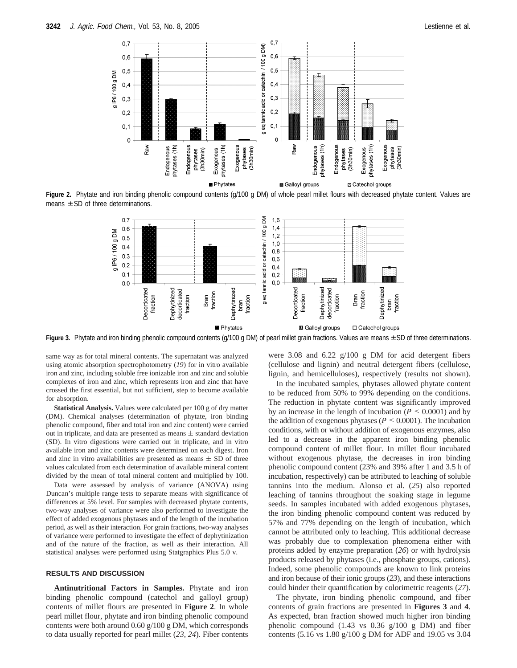

Figure 2. Phytate and iron binding phenolic compound contents (g/100 g DM) of whole pearl millet flours with decreased phytate content. Values are means  $\pm$  SD of three determinations.



Figure 3. Phytate and iron binding phenolic compound contents (g/100 g DM) of pearl millet grain fractions. Values are means  $\pm$  SD of three determinations.

same way as for total mineral contents. The supernatant was analyzed using atomic absorption spectrophotometry (*19*) for in vitro available iron and zinc, including soluble free ionizable iron and zinc and soluble complexes of iron and zinc, which represents iron and zinc that have crossed the first essential, but not sufficient, step to become available for absorption.

**Statistical Analysis.** Values were calculated per 100 g of dry matter (DM). Chemical analyses (determination of phytate, iron binding phenolic compound, fiber and total iron and zinc content) were carried out in triplicate, and data are presented as means  $\pm$  standard deviation (SD). In vitro digestions were carried out in triplicate, and in vitro available iron and zinc contents were determined on each digest. Iron and zinc in vitro availabilities are presented as means  $\pm$  SD of three values calculated from each determination of available mineral content divided by the mean of total mineral content and multiplied by 100.

Data were assessed by analysis of variance (ANOVA) using Duncan's multiple range tests to separate means with significance of differences at 5% level. For samples with decreased phytate contents, two-way analyses of variance were also performed to investigate the effect of added exogenous phytases and of the length of the incubation period, as well as their interaction. For grain fractions, two-way analyses of variance were performed to investigate the effect of dephytinization and of the nature of the fraction, as well as their interaction. All statistical analyses were performed using Statgraphics Plus 5.0 v.

## **RESULTS AND DISCUSSION**

**Antinutritional Factors in Samples.** Phytate and iron binding phenolic compound (catechol and galloyl group) contents of millet flours are presented in **Figure 2**. In whole pearl millet flour, phytate and iron binding phenolic compound contents were both around 0.60 g/100 g DM, which corresponds to data usually reported for pearl millet (*23*, *24*). Fiber contents

were 3.08 and 6.22 g/100 g DM for acid detergent fibers (cellulose and lignin) and neutral detergent fibers (cellulose, lignin, and hemicelluloses), respectively (results not shown).

In the incubated samples, phytases allowed phytate content to be reduced from 50% to 99% depending on the conditions. The reduction in phytate content was significantly improved by an increase in the length of incubation ( $P \le 0.0001$ ) and by the addition of exogenous phytases ( $P \leq 0.0001$ ). The incubation conditions, with or without addition of exogenous enzymes, also led to a decrease in the apparent iron binding phenolic compound content of millet flour. In millet flour incubated without exogenous phytase, the decreases in iron binding phenolic compound content (23% and 39% after 1 and 3.5 h of incubation, respectively) can be attributed to leaching of soluble tannins into the medium. Alonso et al. (*25*) also reported leaching of tannins throughout the soaking stage in legume seeds. In samples incubated with added exogenous phytases, the iron binding phenolic compound content was reduced by 57% and 77% depending on the length of incubation, which cannot be attributed only to leaching. This additional decrease was probably due to complexation phenomena either with proteins added by enzyme preparation (*26*) or with hydrolysis products released by phytases (i.e., phosphate groups, cations). Indeed, some phenolic compounds are known to link proteins and iron because of their ionic groups (*23*), and these interactions could hinder their quantification by colorimetric reagents (*27*).

The phytate, iron binding phenolic compound, and fiber contents of grain fractions are presented in **Figures 3** and **4**. As expected, bran fraction showed much higher iron binding phenolic compound (1.43 vs 0.36 g/100 g DM) and fiber contents (5.16 vs 1.80 g/100 g DM for ADF and 19.05 vs 3.04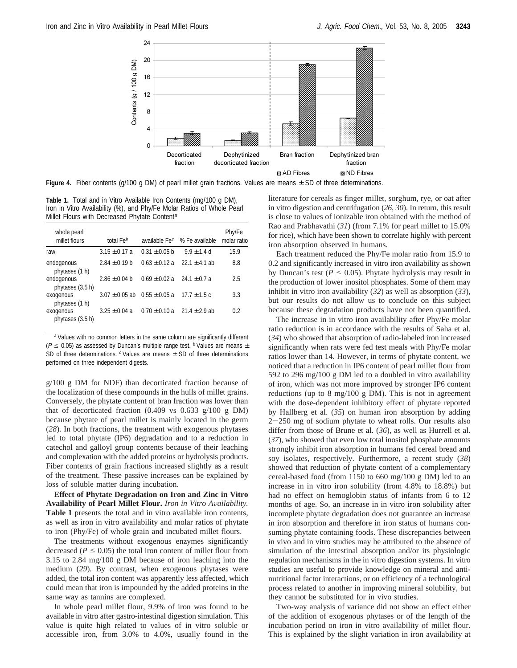

**Figure 4.** Fiber contents (g/100 g DM) of pearl millet grain fractions. Values are means  $\pm$  SD of three determinations.

**Table 1.** Total and in Vitro Available Iron Contents (mg/100 g DM), Iron in Vitro Availability (%), and Phy/Fe Molar Ratios of Whole Pearl Millet Flours with Decreased Phytate Content<sup>a</sup>

| whole pearl                    |                       |                           |                   | Phy/Fe      |
|--------------------------------|-----------------------|---------------------------|-------------------|-------------|
| millet flours                  | total $\mathsf{Fe}^b$ | available Fe <sup>c</sup> | % Fe available    | molar ratio |
| raw                            | $3.15 \pm 0.17$ a     | $0.31 \pm 0.05$ b         | $9.9 \pm 1.4$ d   | 15.9        |
| endogenous<br>phytases (1 h)   | $2.84 \pm 0.19$ b     | $0.63 \pm 0.12$ a         | $22.1 \pm 4.1$ ab | 8.8         |
| endogenous<br>phytases (3.5 h) | $2.86 \pm 0.04$ b     | $0.69 \pm 0.02$ a         | $24.1 \pm 0.7$ a  | 2.5         |
| exogenous<br>phytases (1 h)    | $3.07 \pm 0.05$ ab    | $0.55 \pm 0.05$ a         | $17.7 \pm 1.5c$   | 3.3         |
| exogenous<br>phytases (3.5 h)  | $3.25 \pm 0.04$ a     | $0.70 \pm 0.10$ a         | $21.4 \pm 2.9$ ab | 0.2         |

a Values with no common letters in the same column are significantly different ( $P \le 0.05$ ) as assessed by Duncan's multiple range test. b Values are means  $\pm$ SD of three determinations.  $c$  Values are means  $\pm$  SD of three determinations performed on three independent digests.

g/100 g DM for NDF) than decorticated fraction because of the localization of these compounds in the hulls of millet grains. Conversely, the phytate content of bran fraction was lower than that of decorticated fraction (0.409 vs 0.633 g/100 g DM) because phytate of pearl millet is mainly located in the germ (*28*). In both fractions, the treatment with exogenous phytases led to total phytate (IP6) degradation and to a reduction in catechol and galloyl group contents because of their leaching and complexation with the added proteins or hydrolysis products. Fiber contents of grain fractions increased slightly as a result of the treatment. These passive increases can be explained by loss of soluble matter during incubation.

**Effect of Phytate Degradation on Iron and Zinc in Vitro Availability of Pearl Millet Flour.** *Iron in Vitro A*V*ailability.* **Table 1** presents the total and in vitro available iron contents, as well as iron in vitro availability and molar ratios of phytate to iron (Phy/Fe) of whole grain and incubated millet flours.

The treatments without exogenous enzymes significantly decreased ( $P \leq 0.05$ ) the total iron content of millet flour from 3.15 to 2.84 mg/100 g DM because of iron leaching into the medium (*29*). By contrast, when exogenous phytases were added, the total iron content was apparently less affected, which could mean that iron is impounded by the added proteins in the same way as tannins are complexed.

In whole pearl millet flour, 9.9% of iron was found to be available in vitro after gastro-intestinal digestion simulation. This value is quite high related to values of in vitro soluble or accessible iron, from 3.0% to 4.0%, usually found in the literature for cereals as finger millet, sorghum, rye, or oat after in vitro digestion and centrifugation (*26*, *30*). In return, this result is close to values of ionizable iron obtained with the method of Rao and Prabhavathi (*31*) (from 7.1% for pearl millet to 15.0% for rice), which have been shown to correlate highly with percent iron absorption observed in humans.

Each treatment reduced the Phy/Fe molar ratio from 15.9 to 0.2 and significantly increased in vitro iron availability as shown by Duncan's test ( $P \le 0.05$ ). Phytate hydrolysis may result in the production of lower inositol phosphates. Some of them may inhibit in vitro iron availability (*32*) as well as absorption (*33*), but our results do not allow us to conclude on this subject because these degradation products have not been quantified.

The increase in in vitro iron availability after Phy/Fe molar ratio reduction is in accordance with the results of Saha et al. (*34*) who showed that absorption of radio-labeled iron increased significantly when rats were fed test meals with Phy/Fe molar ratios lower than 14. However, in terms of phytate content, we noticed that a reduction in IP6 content of pearl millet flour from 592 to 296 mg/100 g DM led to a doubled in vitro availability of iron, which was not more improved by stronger IP6 content reductions (up to 8 mg/100 g DM). This is not in agreement with the dose-dependent inhibitory effect of phytate reported by Hallberg et al. (*35*) on human iron absorption by adding <sup>2</sup>-250 mg of sodium phytate to wheat rolls. Our results also differ from those of Brune et al. (*36*), as well as Hurrell et al. (*37*), who showed that even low total inositol phosphate amounts strongly inhibit iron absorption in humans fed cereal bread and soy isolates, respectively. Furthermore, a recent study (*38*) showed that reduction of phytate content of a complementary cereal-based food (from 1150 to 660 mg/100 g DM) led to an increase in in vitro iron solubility (from 4.8% to 18.8%) but had no effect on hemoglobin status of infants from 6 to 12 months of age. So, an increase in in vitro iron solubility after incomplete phytate degradation does not guarantee an increase in iron absorption and therefore in iron status of humans consuming phytate containing foods. These discrepancies between in vivo and in vitro studies may be attributed to the absence of simulation of the intestinal absorption and/or its physiologic regulation mechanisms in the in vitro digestion systems. In vitro studies are useful to provide knowledge on mineral and antinutritional factor interactions, or on efficiency of a technological process related to another in improving mineral solubility, but they cannot be substituted for in vivo studies.

Two-way analysis of variance did not show an effect either of the addition of exogenous phytases or of the length of the incubation period on iron in vitro availability of millet flour. This is explained by the slight variation in iron availability at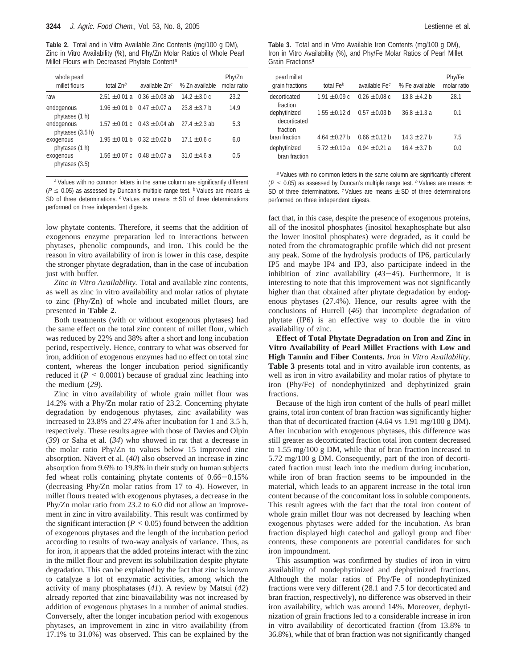**Table 2.** Total and in Vitro Available Zinc Contents (mg/100 g DM), Zinc in Vitro Availability (%), and Phy/Zn Molar Ratios of Whole Pearl Millet Flours with Decreased Phytate Content<sup>a</sup>

| whole pearl<br>millet flours   | total $Zn^b$      | available Zn <sup>c</sup>           | % Zn available    | Phy/Zn<br>molar ratio |
|--------------------------------|-------------------|-------------------------------------|-------------------|-----------------------|
| raw                            | $2.51 \pm 0.01$ a | $0.36 \pm 0.08$ ab                  | $14.2 \pm 3.0 c$  | 23.2                  |
| endogenous<br>phytases (1 h)   | $1.96 \pm 0.01$ b | $0.47 \pm 0.07$ a                   | $23.8 \pm 3.7$ b  | 14.9                  |
| endogenous<br>phytases (3.5 h) | $1.57 \pm 0.01$ c | $0.43 \pm 0.04$ ab                  | $27.4 \pm 2.3$ ab | 5.3                   |
| exogenous<br>phytases (1 h)    | $1.95 \pm 0.01$ b | $0.32 \pm 0.02$ b                   | $17.1 \pm 0.6$ c  | 6.0                   |
| exogenous<br>phytases (3.5)    |                   | $1.56 \pm 0.07$ c $0.48 \pm 0.07$ a | $31.0 \pm 4.6$ a  | 0.5                   |

<sup>a</sup> Values with no common letters in the same column are significantly different ( $P \le 0.05$ ) as assessed by Duncan's multiple range test. b Values are means  $\pm$ SD of three determinations.  $c$  Values are means  $\pm$  SD of three determinations performed on three independent digests.

low phytate contents. Therefore, it seems that the addition of exogenous enzyme preparation led to interactions between phytases, phenolic compounds, and iron. This could be the reason in vitro availability of iron is lower in this case, despite the stronger phytate degradation, than in the case of incubation just with buffer.

*Zinc in Vitro A*V*ailability.* Total and available zinc contents, as well as zinc in vitro availability and molar ratios of phytate to zinc (Phy/Zn) of whole and incubated millet flours, are presented in **Table 2**.

Both treatments (with or without exogenous phytases) had the same effect on the total zinc content of millet flour, which was reduced by 22% and 38% after a short and long incubation period, respectively. Hence, contrary to what was observed for iron, addition of exogenous enzymes had no effect on total zinc content, whereas the longer incubation period significantly reduced it  $(P \le 0.0001)$  because of gradual zinc leaching into the medium (*29*).

Zinc in vitro availability of whole grain millet flour was 14.2% with a Phy/Zn molar ratio of 23.2. Concerning phytate degradation by endogenous phytases, zinc availability was increased to 23.8% and 27.4% after incubation for 1 and 3.5 h, respectively. These results agree with those of Davies and Olpin (*39*) or Saha et al. (*34*) who showed in rat that a decrease in the molar ratio Phy/Zn to values below 15 improved zinc absorption. Nävert et al. (40) also observed an increase in zinc absorption from 9.6% to 19.8% in their study on human subjects fed wheat rolls containing phytate contents of 0.66-0.15% (decreasing Phy/Zn molar ratios from 17 to 4). However, in millet flours treated with exogenous phytases, a decrease in the Phy/Zn molar ratio from 23.2 to 6.0 did not allow an improvement in zinc in vitro availability. This result was confirmed by the significant interaction ( $P \leq 0.05$ ) found between the addition of exogenous phytases and the length of the incubation period according to results of two-way analysis of variance. Thus, as for iron, it appears that the added proteins interact with the zinc in the millet flour and prevent its solubilization despite phytate degradation. This can be explained by the fact that zinc is known to catalyze a lot of enzymatic activities, among which the activity of many phosphatases (*41*). A review by Matsui (*42*) already reported that zinc bioavailability was not increased by addition of exogenous phytases in a number of animal studies. Conversely, after the longer incubation period with exogenous phytases, an improvement in zinc in vitro availability (from 17.1% to 31.0%) was observed. This can be explained by the

**Table 3.** Total and in Vitro Available Iron Contents (mg/100 g DM), Iron in Vitro Availability (%), and Phy/Fe Molar Ratios of Pearl Millet Grain Fractions<sup>a</sup>

| pearl millet<br>grain fractions          | total $\mathsf{Fe}^b$ | available Fe <sup>c</sup> | % Fe available   | Phy/Fe<br>molar ratio |
|------------------------------------------|-----------------------|---------------------------|------------------|-----------------------|
| decorticated<br>fraction                 | $1.91 \pm 0.09$ c     | $0.26 \pm 0.08$ c         | $13.8 \pm 4.2$ b | 28.1                  |
| dephytinized<br>decorticated<br>fraction | $1.55 \pm 0.12$ d     | $0.57 \pm 0.03$ b         | $36.8 \pm 1.3 a$ | 0.1                   |
| bran fraction                            | $4.64 \pm 0.27$ b     | $0.66 \pm 0.12$ b         | $14.3 \pm 2.7$ b | 7.5                   |
| dephytinized<br>bran fraction            | $5.72 \pm 0.10$ a     | $0.94 \pm 0.21$ a         | $16.4 \pm 3.7$ b | 0.0                   |

<sup>a</sup> Values with no common letters in the same column are significantly different ( $P \le 0.05$ ) as assessed by Duncan's multiple range test. b Values are means  $\pm$ SD of three determinations.  $c$  Values are means  $\pm$  SD of three determinations performed on three independent digests.

fact that, in this case, despite the presence of exogenous proteins, all of the inositol phosphates (inositol hexaphosphate but also the lower inositol phosphates) were degraded, as it could be noted from the chromatographic profile which did not present any peak. Some of the hydrolysis products of IP6, particularly IP5 and maybe IP4 and IP3, also participate indeed in the inhibition of zinc availability (*43*-*45*). Furthermore, it is interesting to note that this improvement was not significantly higher than that obtained after phytate degradation by endogenous phytases (27.4%). Hence, our results agree with the conclusions of Hurrell (*46*) that incomplete degradation of phytate (IP6) is an effective way to double the in vitro availability of zinc.

**Effect of Total Phytate Degradation on Iron and Zinc in Vitro Availability of Pearl Millet Fractions with Low and High Tannin and Fiber Contents.** *Iron in Vitro Availability.* **Table 3** presents total and in vitro available iron contents, as well as iron in vitro availability and molar ratios of phytate to iron (Phy/Fe) of nondephytinized and dephytinized grain fractions.

Because of the high iron content of the hulls of pearl millet grains, total iron content of bran fraction was significantly higher than that of decorticated fraction (4.64 vs 1.91 mg/100 g DM). After incubation with exogenous phytases, this difference was still greater as decorticated fraction total iron content decreased to 1.55 mg/100 g DM, while that of bran fraction increased to 5.72 mg/100 g DM. Consequently, part of the iron of decorticated fraction must leach into the medium during incubation, while iron of bran fraction seems to be impounded in the material, which leads to an apparent increase in the total iron content because of the concomitant loss in soluble components. This result agrees with the fact that the total iron content of whole grain millet flour was not decreased by leaching when exogenous phytases were added for the incubation. As bran fraction displayed high catechol and galloyl group and fiber contents, these components are potential candidates for such iron impoundment.

This assumption was confirmed by studies of iron in vitro availability of nondephytinized and dephytinized fractions. Although the molar ratios of Phy/Fe of nondephytinized fractions were very different (28.1 and 7.5 for decorticated and bran fraction, respectively), no difference was observed in their iron availability, which was around 14%. Moreover, dephytinization of grain fractions led to a considerable increase in iron in vitro availability of decorticated fraction (from 13.8% to 36.8%), while that of bran fraction was not significantly changed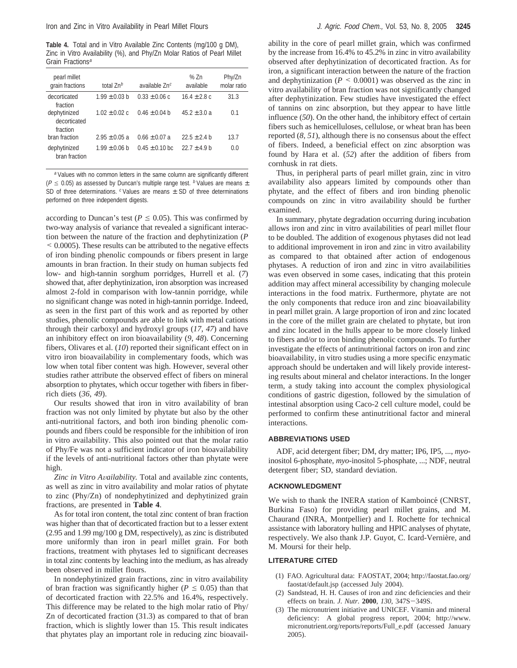**Table 4.** Total and in Vitro Available Zinc Contents (mg/100 g DM), Zinc in Vitro Availability (%), and Phy/Zn Molar Ratios of Pearl Millet Grain Fractions<sup>a</sup>

| pearl millet<br>grain fractions          | total $Zn^b$      | available $Zn^c$   | % $Zn$<br>available | Phy/Zn<br>molar ratio |
|------------------------------------------|-------------------|--------------------|---------------------|-----------------------|
| decorticated<br>fraction                 | $1.99 \pm 0.03$ b | $0.33 \pm 0.06$ c  | $16.4 \pm 2.8$ c    | 31.3                  |
| dephytinized<br>decorticated<br>fraction | $1.02 \pm 0.02$ c | $0.46 \pm 0.04$ b  | $45.2 \pm 3.0$ a    | 0.1                   |
| bran fraction                            | $2.95 \pm 0.05$ a | $0.66 \pm 0.07$ a  | $22.5 + 2.4 h$      | 13.7                  |
| dephytinized<br>bran fraction            | $1.99 \pm 0.06$ b | $0.45 \pm 0.10$ bc | $22.7 + 4.9 h$      | 0.0                   |

<sup>a</sup> Values with no common letters in the same column are significantly different ( $P \le 0.05$ ) as assessed by Duncan's multiple range test. b Values are means  $\pm$ SD of three determinations.  $c$  Values are means  $\pm$  SD of three determinations performed on three independent digests.

according to Duncan's test ( $P \leq 0.05$ ). This was confirmed by two-way analysis of variance that revealed a significant interaction between the nature of the fraction and dephytinization (*P* < 0.0005). These results can be attributed to the negative effects of iron binding phenolic compounds or fibers present in large amounts in bran fraction. In their study on human subjects fed low- and high-tannin sorghum porridges, Hurrell et al. (*7*) showed that, after dephytinization, iron absorption was increased almost 2-fold in comparison with low-tannin porridge, while no significant change was noted in high-tannin porridge. Indeed, as seen in the first part of this work and as reported by other studies, phenolic compounds are able to link with metal cations through their carboxyl and hydroxyl groups (*17*, *47*) and have an inhibitory effect on iron bioavailability (*9*, *48*). Concerning fibers, Olivares et al. (*10*) reported their significant effect on in vitro iron bioavailability in complementary foods, which was low when total fiber content was high. However, several other studies rather attribute the observed effect of fibers on mineral absorption to phytates, which occur together with fibers in fiberrich diets (*36*, *49*).

Our results showed that iron in vitro availability of bran fraction was not only limited by phytate but also by the other anti-nutritional factors, and both iron binding phenolic compounds and fibers could be responsible for the inhibition of iron in vitro availability. This also pointed out that the molar ratio of Phy/Fe was not a sufficient indicator of iron bioavailability if the levels of anti-nutritional factors other than phytate were high.

*Zinc in Vitro A*V*ailability.* Total and available zinc contents, as well as zinc in vitro availability and molar ratios of phytate to zinc (Phy/Zn) of nondephytinized and dephytinized grain fractions, are presented in **Table 4**.

As for total iron content, the total zinc content of bran fraction was higher than that of decorticated fraction but to a lesser extent (2.95 and 1.99 mg/100 g DM, respectively), as zinc is distributed more uniformly than iron in pearl millet grain. For both fractions, treatment with phytases led to significant decreases in total zinc contents by leaching into the medium, as has already been observed in millet flours.

In nondephytinized grain fractions, zinc in vitro availability of bran fraction was significantly higher ( $P \le 0.05$ ) than that of decorticated fraction with 22.5% and 16.4%, respectively. This difference may be related to the high molar ratio of Phy/ Zn of decorticated fraction (31.3) as compared to that of bran fraction, which is slightly lower than 15. This result indicates that phytates play an important role in reducing zinc bioavail-

ability in the core of pearl millet grain, which was confirmed by the increase from 16.4% to 45.2% in zinc in vitro availability observed after dephytinization of decorticated fraction. As for iron, a significant interaction between the nature of the fraction and dephytinization ( $P \leq 0.0001$ ) was observed as the zinc in vitro availability of bran fraction was not significantly changed after dephytinization. Few studies have investigated the effect of tannins on zinc absorption, but they appear to have little influence (*50*). On the other hand, the inhibitory effect of certain fibers such as hemicelluloses, cellulose, or wheat bran has been reported (*8*, *51*), although there is no consensus about the effect of fibers. Indeed, a beneficial effect on zinc absorption was found by Hara et al. (*52*) after the addition of fibers from cornhusk in rat diets.

Thus, in peripheral parts of pearl millet grain, zinc in vitro availability also appears limited by compounds other than phytate, and the effect of fibers and iron binding phenolic compounds on zinc in vitro availability should be further examined.

In summary, phytate degradation occurring during incubation allows iron and zinc in vitro availabilities of pearl millet flour to be doubled. The addition of exogenous phytases did not lead to additional improvement in iron and zinc in vitro availability as compared to that obtained after action of endogenous phytases. A reduction of iron and zinc in vitro availabilities was even observed in some cases, indicating that this protein addition may affect mineral accessibility by changing molecule interactions in the food matrix. Furthermore, phytate are not the only components that reduce iron and zinc bioavailability in pearl millet grain. A large proportion of iron and zinc located in the core of the millet grain are chelated to phytate, but iron and zinc located in the hulls appear to be more closely linked to fibers and/or to iron binding phenolic compounds. To further investigate the effects of antinutritional factors on iron and zinc bioavailability, in vitro studies using a more specific enzymatic approach should be undertaken and will likely provide interesting results about mineral and chelator interactions. In the longer term, a study taking into account the complex physiological conditions of gastric digestion, followed by the simulation of intestinal absorption using Caco-2 cell culture model, could be performed to confirm these antinutritional factor and mineral interactions.

## **ABBREVIATIONS USED**

ADF, acid detergent fiber; DM, dry matter; IP6, IP5, ..., *myo*inositol 6-phosphate, *myo*-inositol 5-phosphate, ...; NDF, neutral detergent fiber; SD, standard deviation.

## **ACKNOWLEDGMENT**

We wish to thank the INERA station of Kamboincé (CNRST, Burkina Faso) for providing pearl millet grains, and M. Chaurand (INRA, Montpellier) and I. Rochette for technical assistance with laboratory hulling and HPIC analyses of phytate, respectively. We also thank J.P. Guyot, C. Icard-Vernière, and M. Moursi for their help.

## **LITERATURE CITED**

- (1) FAO. Agricultural data: FAOSTAT, 2004; http://faostat.fao.org/ faostat/default.jsp (accessed July 2004).
- (2) Sandstead, H. H. Causes of iron and zinc deficiencies and their effects on brain. *J. Nutr.* **<sup>2000</sup>**, *<sup>130</sup>*, 347S-349S.
- (3) The micronutrient initiative and UNICEF. Vitamin and mineral deficiency: A global progress report, 2004; http://www. micronutrient.org/reports/reports/Full\_e.pdf (accessed January 2005).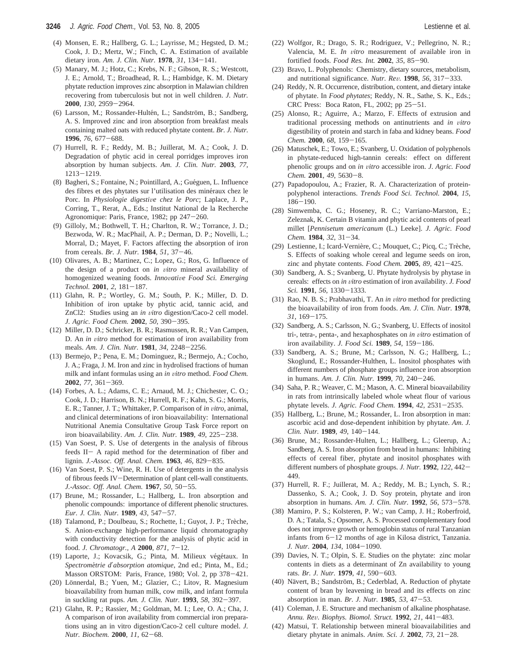- (4) Monsen, E. R.; Hallberg, G. L.; Layrisse, M.; Hegsted, D. M.; Cook, J. D.; Mertz, W.; Finch, C. A. Estimation of available dietary iron. *Am. J. Clin. Nutr.* **<sup>1978</sup>**, *<sup>31</sup>*, 134-141.
- (5) Manary, M. J.; Hotz, C.; Krebs, N. F.; Gibson, R. S.; Westcott, J. E.; Arnold, T.; Broadhead, R. L.; Hambidge, K. M. Dietary phytate reduction improves zinc absorption in Malawian children recovering from tuberculosis but not in well children. *J. Nutr.* **<sup>2000</sup>**, *<sup>130</sup>*, 2959-2964.
- (6) Larsson, M.; Rossander-Hultén, L.; Sandström, B.; Sandberg, A. S. Improved zinc and iron absorption from breakfast meals containing malted oats with reduced phytate content. *Br. J. Nutr.* **<sup>1996</sup>**, *<sup>76</sup>*, 677-688.
- (7) Hurrell, R. F.; Reddy, M. B.; Juillerat, M. A.; Cook, J. D. Degradation of phytic acid in cereal porridges improves iron absorption by human subjects. *Am. J. Clin. Nutr.* **2003**, *77*, <sup>1213</sup>-1219.
- (8) Bagheri, S.; Fontaine, N.; Pointillard, A.; Guéguen, L. Influence des fibres et des phytates sur l'utilisation des minéraux chez le Porc. In *Physiologie digestive chez le Porc*; Laplace, J. P., Corring, T., Rerat, A., Eds.; Institut National de la Recherche Agronomique: Paris, France, 1982; pp 247-260.
- (9) Gilloly, M.; Bothwell, T. H.; Charlton, R. W.; Torrance, J. D.; Bezwoda, W. R.; MacPhail, A. P.; Derman, D. P.; Novelli, L.; Morral, D.; Mayet, F. Factors affecting the absorption of iron from cereals. *Br. J. Nutr.* **<sup>1984</sup>**, *<sup>51</sup>*, 37-46.
- (10) Olivares, A. B.; Martinez, C.; Lopez, G.; Ros, G. Influence of the design of a product on *in vitro* mineral availability of homogenized weaning foods. *Innovative Food Sci. Emerging Technol.* **<sup>2001</sup>**, *<sup>2</sup>*, 181-187.
- (11) Glahn, R. P.; Wortley, G. M.; South, P. K.; Miller, D. D. Inhibition of iron uptake by phytic acid, tannic acid, and ZnCl2: Studies using an *in vitro* digestion/Caco-2 cell model. *J. Agric. Food Chem.* **<sup>2002</sup>**, *<sup>50</sup>*, 390-395.
- (12) Miller, D. D.; Schricker, B. R.; Rasmussen, R. R.; Van Campen, D. An *in vitro* method for estimation of iron availability from meals. *Am. J. Clin. Nutr.* **<sup>1981</sup>**, *<sup>34</sup>*, 2248-2256.
- (13) Bermejo, P.; Pena, E. M.; Dominguez, R.; Bermejo, A.; Cocho, J. A.; Fraga, J. M. Iron and zinc in hydrolised fractions of human milk and infant formulas using an *in vitro* method. *Food Chem.* **<sup>2002</sup>**, *<sup>77</sup>*, 361-369.
- (14) Forbes, A. L.; Adams, C. E.; Arnaud, M. J.; Chichester, C. O.; Cook, J. D.; Harrison, B. N.; Hurrell, R. F.; Kahn, S. G.; Morris, E. R.; Tanner, J. T.; Whittaker, P. Comparison of *in vitro*, animal, and clinical determinations of iron bioavailability: International Nutritional Anemia Consultative Group Task Force report on iron bioavailability. *Am. J. Clin. Nutr.* **<sup>1989</sup>**, *<sup>49</sup>*, 225-238.
- (15) Van Soest, P. S. Use of detergents in the analysis of fibrous feeds II- A rapid method for the determination of fiber and lignin. *J.-Assoc. Off. Anal. Chem.* **<sup>1963</sup>**, *<sup>46</sup>*, 829-835.
- (16) Van Soest, P. S.; Wine, R. H. Use of detergents in the analysis of fibrous feeds IV-Determination of plant cell-wall constituents. *J.-Assoc. Off. Anal. Chem.* **<sup>1967</sup>**, *<sup>50</sup>*, 50-55.
- (17) Brune, M.; Rossander, L.; Hallberg, L. Iron absorption and phenolic compounds: importance of different phenolic structures. *Eur. J. Clin. Nutr.* **<sup>1989</sup>**, *<sup>43</sup>*, 547-57.
- (18) Talamond, P.; Doulbeau, S.; Rochette, I.; Guyot, J. P.; Trèche, S. Anion-exchange high-performance liquid chromatography with conductivity detection for the analysis of phytic acid in food. *J. Chromatogr., A* **<sup>2000</sup>**, *<sup>871</sup>*, 7-12.
- (19) Laporte, J.; Kovacsik, G.; Pinta, M. Milieux végétaux. In *Spectrome*´*trie d*′*absorption atomique*, 2nd ed.; Pinta, M., Ed.; Masson ORSTOM: Paris, France, 1980; Vol. 2, pp 378-421.
- (20) Lönnerdal, B.; Yuen, M.; Glazier, C.; Litov, R. Magnesium bioavailability from human milk, cow milk, and infant formula in suckling rat pups. *Am. J. Clin. Nutr.* **<sup>1993</sup>**, *<sup>58</sup>*, 392-397.
- (21) Glahn, R. P.; Rassier, M.; Goldman, M. I.; Lee, O. A.; Cha, J. A comparison of iron availability from commercial iron preparations using an in vitro digestion/Caco-2 cell culture model. *J. Nutr. Biochem.* **<sup>2000</sup>**, *<sup>11</sup>*, 62-68.
- (22) Wolfgor, R.; Drago, S. R.; Rodriguez, V.; Pellegrino, N. R.; Valencia, M. E. *In vitro* measurement of available iron in fortified foods. *Food Res. Int.* **<sup>2002</sup>**, *<sup>35</sup>*, 85-90.
- (23) Bravo, L. Polyphenols: Chemistry, dietary sources, metabolism, and nutritional significance. *Nutr. Re*V*.* **<sup>1998</sup>**, *<sup>56</sup>*, 317-333.
- (24) Reddy, N. R. Occurrence, distribution, content, and dietary intake of phytate. In *Food phytates*; Reddy, N. R., Sathe, S. K., Eds.; CRC Press: Boca Raton, FL, 2002; pp 25-51.
- (25) Alonso, R.; Aguirre, A.; Marzo, F. Effects of extrusion and traditional processing methods on antinutrients and *in vitro* digestibility of protein and starch in faba and kidney beans. *Food Chem.* **<sup>2000</sup>**, *<sup>68</sup>*, 159-165.
- (26) Matuschek, E.; Towo, E.; Svanberg, U. Oxidation of polyphenols in phytate-reduced high-tannin cereals: effect on different phenolic groups and on *in vitro* accessible iron. *J. Agric. Food Chem.* **<sup>2001</sup>**, *<sup>49</sup>*, 5630-8.
- (27) Papadopoulou, A.; Frazier, R. A. Characterization of proteinpolyphenol interactions. *Trends Food Sci. Technol.* **2004**, *15*, <sup>186</sup>-190.
- (28) Simwemba, C. G.; Hoseney, R. C.; Varriano-Marston, E.; Zeleznak, K. Certain B vitamin and phytic acid contents of pearl millet [*Pennisetum americanum* (L.) Leeke]. *J. Agric. Food Chem.* **<sup>1984</sup>**, *<sup>32</sup>*, 31-34.
- (29) Lestienne, I.; Icard-Vernière, C.; Mouquet, C.; Picq, C.; Trèche, S. Effects of soaking whole cereal and legume seeds on iron, zinc and phytate contents. *Food Chem.* **<sup>2005</sup>**, *<sup>89</sup>*, 421-425.
- (30) Sandberg, A. S.; Svanberg, U. Phytate hydrolysis by phytase in cereals: effects on *in vitro* estimation of iron availability. *J. Food Sci.* **<sup>1991</sup>**, *<sup>56</sup>*, 1330-1333.
- (31) Rao, N. B. S.; Prabhavathi, T. An *in vitro* method for predicting the bioavailability of iron from foods. *Am. J. Clin. Nutr.* **1978**, *<sup>31</sup>*, 169-175.
- (32) Sandberg, A. S.; Carlsson, N. G.; Svanberg, U. Effects of inositol tri-, tetra-, penta-, and hexaphosphates on *in vitro* estimation of iron availability. *J. Food Sci.* **<sup>1989</sup>**, *<sup>54</sup>*, 159-186.
- (33) Sandberg, A. S.; Brune, M.; Carlsson, N. G.; Hallberg, L.; Skoglund, E.; Rossander-Hulthen, L. Inositol phosphates with different numbers of phosphate groups influence iron absorption in humans. *Am. J. Clin. Nutr.* **<sup>1999</sup>**, *<sup>70</sup>*, 240-246.
- (34) Saha, P. R.; Weaver, C. M.; Mason, A. C. Mineral bioavailability in rats from intrinsically labeled whole wheat flour of various phytate levels. *J. Agric. Food Chem.* **<sup>1994</sup>**, *<sup>42</sup>*, 2531-2535.
- (35) Hallberg, L.; Brune, M.; Rossander, L. Iron absorption in man: ascorbic acid and dose-dependent inhibition by phytate. *Am. J. Clin. Nutr.* **<sup>1989</sup>**, *<sup>49</sup>*, 140-144.
- (36) Brune, M.; Rossander-Hulten, L.; Hallberg, L.; Gleerup, A.; Sandberg, A. S. Iron absorption from bread in humans: Inhibiting effects of cereal fiber, phytate and inositol phosphates with different numbers of phosphate groups. *J. Nutr.* **<sup>1992</sup>**, *<sup>122</sup>*, 442- 449.
- (37) Hurrell, R. F.; Juillerat, M. A.; Reddy, M. B.; Lynch, S. R.; Dassenko, S. A.; Cook, J. D. Soy protein, phytate and iron absorption in humans. *Am. J. Clin. Nutr.* **<sup>1992</sup>**, *<sup>56</sup>*, 573-578.
- (38) Mamiro, P. S.; Kolsteren, P. W.; van Camp, J. H.; Roberfroid, D. A.; Tatala, S.; Opsomer, A. S. Processed complementary food does not improve growth or hemoglobin status of rural Tanzanian infants from 6-12 months of age in Kilosa district, Tanzania. *J. Nutr.* **<sup>2004</sup>**, *<sup>134</sup>*, 1084-1090.
- (39) Davies, N. T.; Olpin, S. E. Studies on the phytate: zinc molar contents in diets as a determinant of Zn availability to young rats. *Br. J. Nutr.* **<sup>1979</sup>**, *<sup>41</sup>*, 590-603.
- (40) Nävert, B.; Sandström, B.; Cederblad, A. Reduction of phytate content of bran by leavening in bread and its effects on zinc absorption in man. *Br. J. Nutr.* **<sup>1985</sup>**, *<sup>53</sup>*, 47-53.
- (41) Coleman, J. E. Structure and mechanism of alkaline phosphatase. *Annu. Re*V*. Biophys. Biomol. Struct.* **<sup>1992</sup>**, *<sup>21</sup>*, 441-483.
- (42) Matsui, T. Relationship between mineral bioavailabilities and dietary phytate in animals. *Anim. Sci. J.* **<sup>2002</sup>**, *<sup>73</sup>*, 21-28.